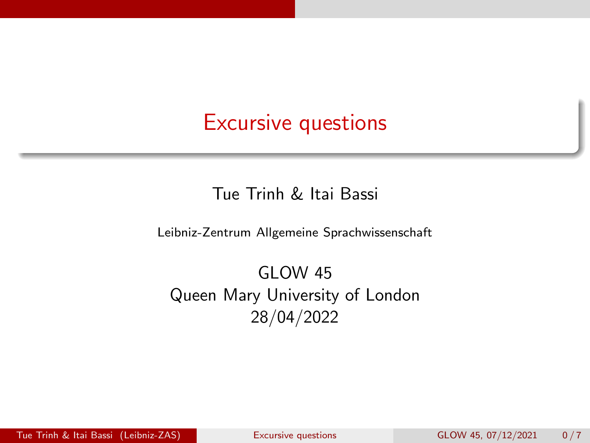# <span id="page-0-0"></span>Excursive questions

Tue Trinh & Itai Bassi

Leibniz-Zentrum Allgemeine Sprachwissenschaft

GLOW 45 Queen Mary University of London 28/04/2022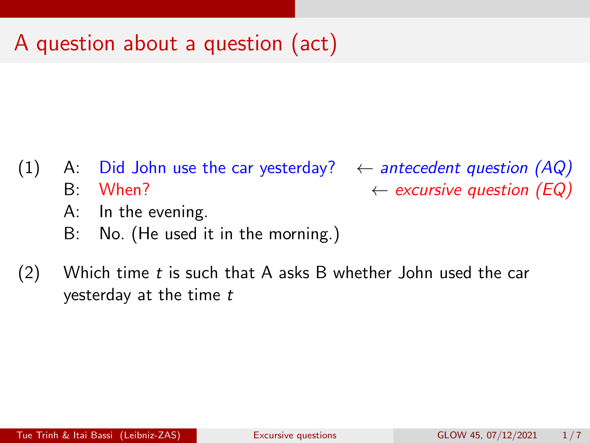# A question about a question (act)

- (1) A: Did John use the car yesterday?  $\leftarrow$  antecedent question  $(AQ)$ 
	- B: When?  $\leftarrow$  excursive question  $(EQ)$
	- A: In the evening.
	- B: No. (He used it in the morning.)
- $(2)$  Which time t is such that A asks B whether John used the car yesterday at the time t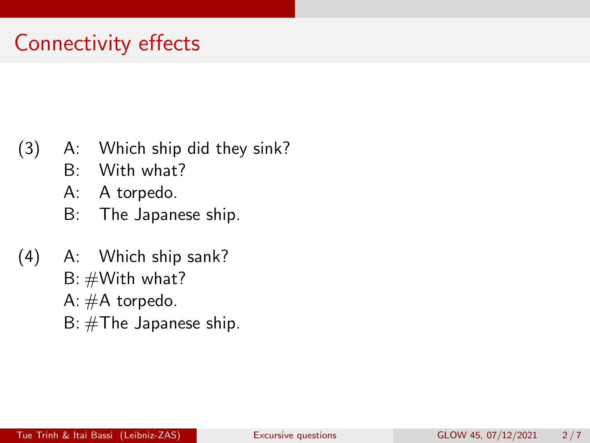# Connectivity effects

- (3) A: Which ship did they sink?
	- B: With what?
	- A: A torpedo.
	- B: The Japanese ship.
- (4) A: Which ship sank?  $B: #With what?$ 
	- A: #A torpedo.
	- B: #The Japanese ship.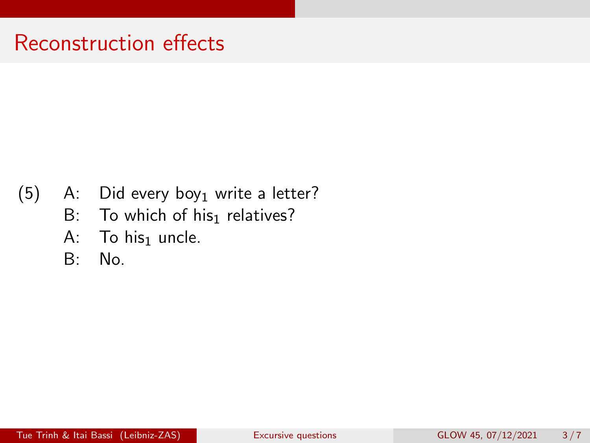# Reconstruction effects

- (5) A: Did every boy<sub>1</sub> write a letter?
	- B: To which of his<sub>1</sub> relatives?
	- A: To his $_1$  uncle.
	- $B^{\dagger}$  No.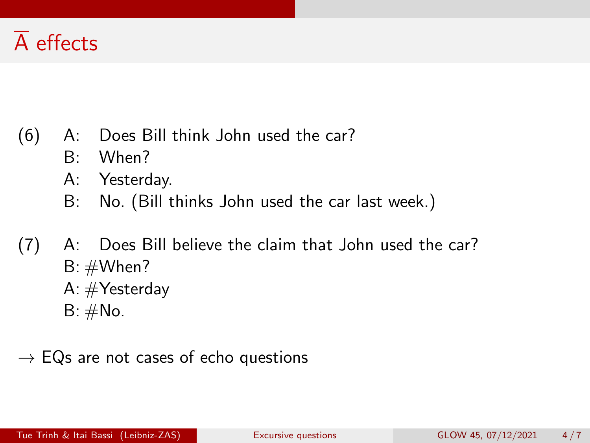# A effects

- (6) A: Does Bill think John used the car?
	- B: When?
	- A: Yesterday.
	- B: No. (Bill thinks John used the car last week.)
- (7) A: Does Bill believe the claim that John used the car? B: #When?
	- A: #Yesterday
	- $B: \#No.$
- $\rightarrow$  EQs are not cases of echo questions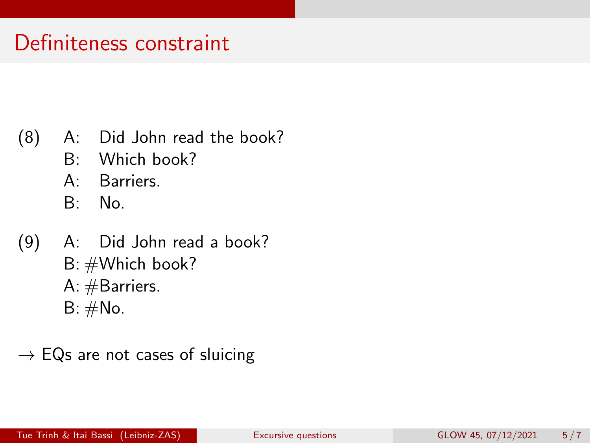# Definiteness constraint

- (8) A: Did John read the book?
	- B: Which book?
	- A: Barriers.
	- B: No.
- (9) A: Did John read a book? B: #Which book?
	- A: #Barriers.
	- $B: \#No.$
- $\rightarrow$  EQs are not cases of sluicing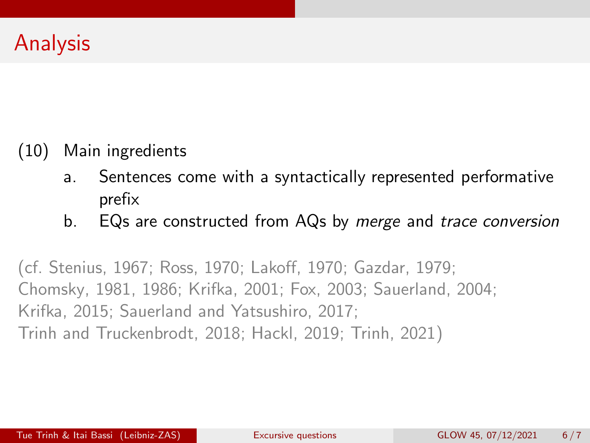### (10) Main ingredients

- a. Sentences come with a syntactically represented performative prefix
- b. EQs are constructed from AQs by merge and trace conversion

(cf. [Stenius, 1967](#page-9-1); [Ross, 1970](#page-9-2); [Lakoff, 1970;](#page-8-0) [Gazdar, 1979](#page-8-1); [Chomsky, 1981](#page-8-2), [1986](#page-8-3); [Krifka, 2001;](#page-8-4) [Fox, 2003;](#page-8-5) [Sauerland, 2004;](#page-9-3) [Krifka, 2015;](#page-8-6) [Sauerland and Yatsushiro, 2017](#page-9-4); [Trinh and Truckenbrodt, 2018;](#page-9-5) [Hackl, 2019;](#page-8-7) [Trinh, 2021](#page-9-6))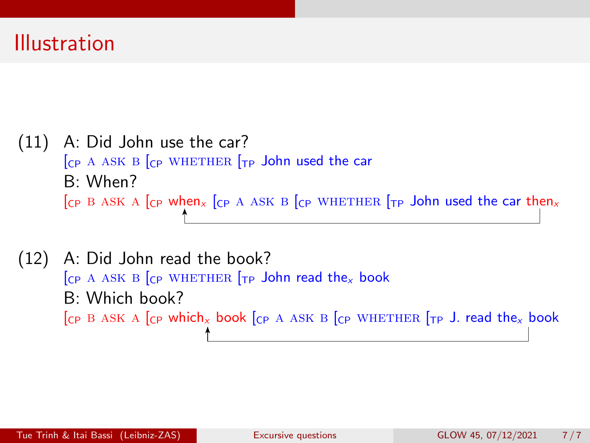## Illustration

- (11) A: Did John use the car?  $[CP A ASK B [CP WHETHER]TP$  John used the car B: When?  $\begin{bmatrix} C_P & B & ASK \end{bmatrix}$   $\begin{bmatrix} C_P & W & B \end{bmatrix}$   $\begin{bmatrix} C_P & W & B \end{bmatrix}$   $\begin{bmatrix} T_P & \text{John used the car then } x \end{bmatrix}$
- (12) A: Did John read the book?  $[CP A ASK B [CP WHETHER F]P]$  John read the<sub>x</sub> book B: Which book?  $\begin{bmatrix} C_P & B & ASK \end{bmatrix}$  and  $\begin{bmatrix} C_P & B & ABK \end{bmatrix}$  and  $\begin{bmatrix} C_P & B & ABK \end{bmatrix}$  and  $\begin{bmatrix} C_P & B & ABK \end{bmatrix}$  and  $\begin{bmatrix} C_P & B & ABK \end{bmatrix}$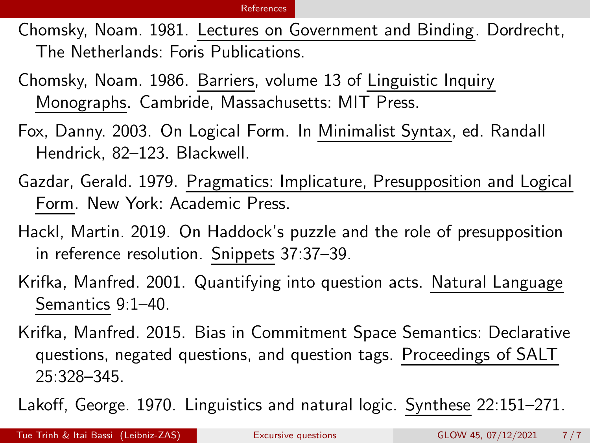#### [References](#page-8-8)

- <span id="page-8-8"></span><span id="page-8-2"></span>Chomsky, Noam. 1981. Lectures on Government and Binding. Dordrecht, The Netherlands: Foris Publications.
- <span id="page-8-3"></span>Chomsky, Noam. 1986. Barriers, volume 13 of Linguistic Inquiry Monographs. Cambride, Massachusetts: MIT Press.
- <span id="page-8-5"></span>Fox, Danny. 2003. On Logical Form. In Minimalist Syntax, ed. Randall Hendrick, 82–123. Blackwell.
- <span id="page-8-1"></span>Gazdar, Gerald. 1979. Pragmatics: Implicature, Presupposition and Logical Form. New York: Academic Press.
- <span id="page-8-7"></span>Hackl, Martin. 2019. On Haddock's puzzle and the role of presupposition in reference resolution. Snippets 37:37–39.
- <span id="page-8-4"></span>Krifka, Manfred. 2001. Quantifying into question acts. Natural Language Semantics 9:1–40.
- <span id="page-8-6"></span>Krifka, Manfred. 2015. Bias in Commitment Space Semantics: Declarative questions, negated questions, and question tags. Proceedings of SALT 25:328–345.

<span id="page-8-0"></span>Lakoff, George. 1970. Linguistics and natural logic. Synthese 22:151–271.